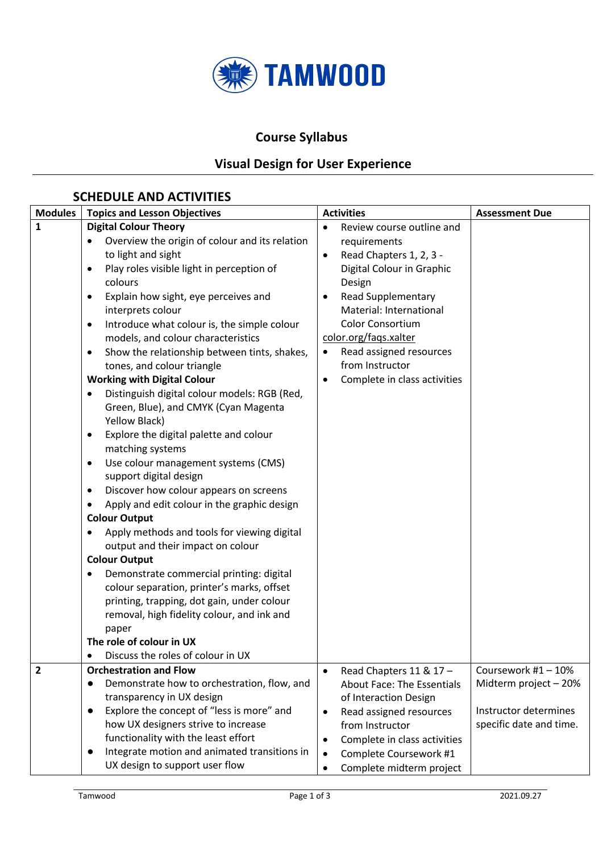

#### **Course Syllabus**

### **Visual Design for User Experience**

#### **SCHEDULE AND ACTIVITIES**

| <b>Modules</b><br><b>Topics and Lesson Objectives</b><br><b>Activities</b>                                   | <b>Assessment Due</b>   |
|--------------------------------------------------------------------------------------------------------------|-------------------------|
| 1<br><b>Digital Colour Theory</b><br>Review course outline and<br>$\bullet$                                  |                         |
| Overview the origin of colour and its relation<br>requirements                                               |                         |
| to light and sight<br>Read Chapters 1, 2, 3 -<br>$\bullet$                                                   |                         |
| Play roles visible light in perception of<br>Digital Colour in Graphic<br>$\bullet$                          |                         |
| colours<br>Design                                                                                            |                         |
| <b>Read Supplementary</b><br>Explain how sight, eye perceives and<br>$\bullet$<br>$\bullet$                  |                         |
| Material: International<br>interprets colour                                                                 |                         |
| Color Consortium<br>Introduce what colour is, the simple colour<br>$\bullet$                                 |                         |
| color.org/faqs.xalter<br>models, and colour characteristics                                                  |                         |
| Read assigned resources<br>Show the relationship between tints, shakes,<br>$\bullet$<br>$\bullet$            |                         |
| from Instructor<br>tones, and colour triangle                                                                |                         |
| <b>Working with Digital Colour</b><br>Complete in class activities                                           |                         |
| Distinguish digital colour models: RGB (Red,                                                                 |                         |
| Green, Blue), and CMYK (Cyan Magenta                                                                         |                         |
| Yellow Black)                                                                                                |                         |
| Explore the digital palette and colour<br>٠                                                                  |                         |
| matching systems                                                                                             |                         |
| Use colour management systems (CMS)<br>$\bullet$                                                             |                         |
| support digital design                                                                                       |                         |
| Discover how colour appears on screens<br>$\bullet$                                                          |                         |
| Apply and edit colour in the graphic design<br>$\bullet$                                                     |                         |
| <b>Colour Output</b>                                                                                         |                         |
| Apply methods and tools for viewing digital<br>٠                                                             |                         |
| output and their impact on colour                                                                            |                         |
| <b>Colour Output</b>                                                                                         |                         |
| Demonstrate commercial printing: digital                                                                     |                         |
| colour separation, printer's marks, offset                                                                   |                         |
| printing, trapping, dot gain, under colour                                                                   |                         |
| removal, high fidelity colour, and ink and                                                                   |                         |
| paper                                                                                                        |                         |
| The role of colour in UX                                                                                     |                         |
| Discuss the roles of colour in UX                                                                            |                         |
| $\overline{2}$<br><b>Orchestration and Flow</b><br>Read Chapters 11 & 17-<br>$\bullet$                       | Coursework #1 - 10%     |
| Demonstrate how to orchestration, flow, and<br><b>About Face: The Essentials</b>                             | Midterm project - 20%   |
| transparency in UX design<br>of Interaction Design<br>Explore the concept of "less is more" and<br>$\bullet$ | Instructor determines   |
| Read assigned resources<br>$\bullet$<br>how UX designers strive to increase<br>from Instructor               | specific date and time. |
| functionality with the least effort<br>Complete in class activities<br>$\bullet$                             |                         |
| Integrate motion and animated transitions in<br>Complete Coursework #1<br>$\bullet$                          |                         |
| UX design to support user flow<br>Complete midterm project                                                   |                         |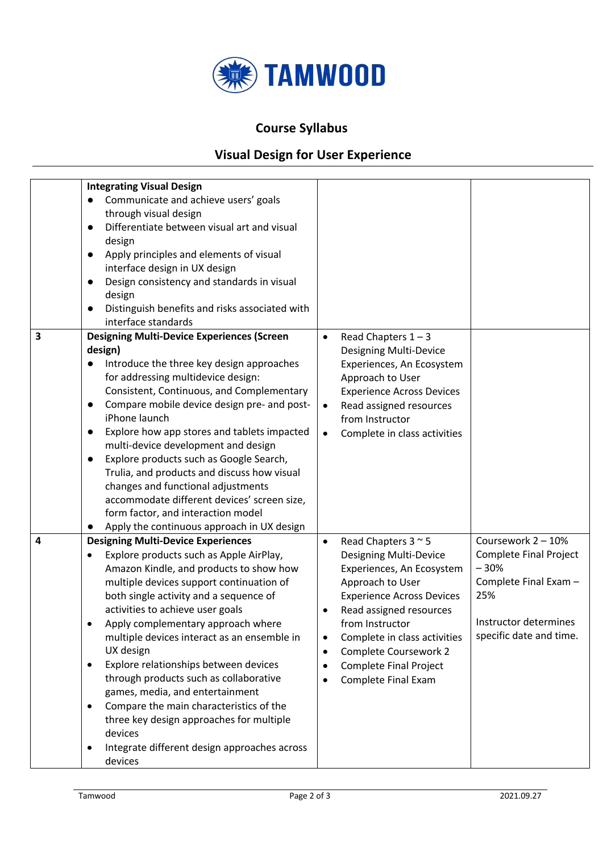

### **Course Syllabus**

# **Visual Design for User Experience**

| 3 | <b>Integrating Visual Design</b><br>Communicate and achieve users' goals<br>through visual design<br>Differentiate between visual art and visual<br>$\bullet$<br>design<br>Apply principles and elements of visual<br>$\bullet$<br>interface design in UX design<br>Design consistency and standards in visual<br>$\bullet$<br>design<br>Distinguish benefits and risks associated with<br>interface standards<br><b>Designing Multi-Device Experiences (Screen</b>                                                                                                                                                                                      | Read Chapters $1 - 3$<br>$\bullet$                                                                                                                                                                                                                                                                                                                                                |                                                                                                                                                   |
|---|----------------------------------------------------------------------------------------------------------------------------------------------------------------------------------------------------------------------------------------------------------------------------------------------------------------------------------------------------------------------------------------------------------------------------------------------------------------------------------------------------------------------------------------------------------------------------------------------------------------------------------------------------------|-----------------------------------------------------------------------------------------------------------------------------------------------------------------------------------------------------------------------------------------------------------------------------------------------------------------------------------------------------------------------------------|---------------------------------------------------------------------------------------------------------------------------------------------------|
|   | design)<br>Introduce the three key design approaches<br>for addressing multidevice design:<br>Consistent, Continuous, and Complementary<br>Compare mobile device design pre- and post-<br>$\bullet$<br>iPhone launch<br>Explore how app stores and tablets impacted<br>$\bullet$<br>multi-device development and design<br>Explore products such as Google Search,<br>$\bullet$<br>Trulia, and products and discuss how visual<br>changes and functional adjustments<br>accommodate different devices' screen size,<br>form factor, and interaction model<br>Apply the continuous approach in UX design                                                  | <b>Designing Multi-Device</b><br>Experiences, An Ecosystem<br>Approach to User<br><b>Experience Across Devices</b><br>Read assigned resources<br>$\bullet$<br>from Instructor<br>Complete in class activities<br>$\bullet$                                                                                                                                                        |                                                                                                                                                   |
| 4 | <b>Designing Multi-Device Experiences</b><br>Explore products such as Apple AirPlay,<br>Amazon Kindle, and products to show how<br>multiple devices support continuation of<br>both single activity and a sequence of<br>activities to achieve user goals<br>Apply complementary approach where<br>multiple devices interact as an ensemble in<br>UX design<br>Explore relationships between devices<br>٠<br>through products such as collaborative<br>games, media, and entertainment<br>Compare the main characteristics of the<br>٠<br>three key design approaches for multiple<br>devices<br>Integrate different design approaches across<br>devices | Read Chapters $3 \approx 5$<br>$\bullet$<br><b>Designing Multi-Device</b><br>Experiences, An Ecosystem<br>Approach to User<br><b>Experience Across Devices</b><br>Read assigned resources<br>$\bullet$<br>from Instructor<br>Complete in class activities<br>$\bullet$<br>Complete Coursework 2<br>$\bullet$<br><b>Complete Final Project</b><br>$\bullet$<br>Complete Final Exam | Coursework 2 - 10%<br><b>Complete Final Project</b><br>$-30%$<br>Complete Final Exam -<br>25%<br>Instructor determines<br>specific date and time. |